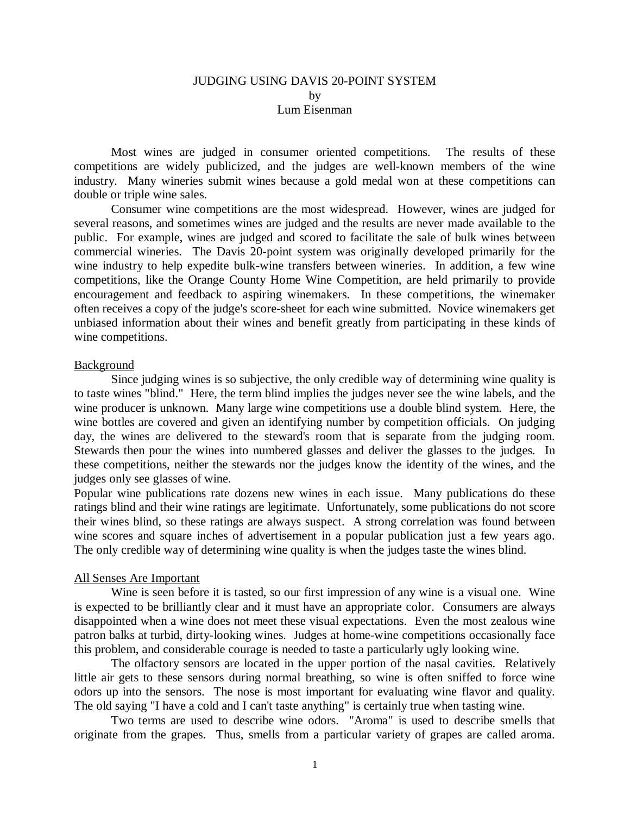# JUDGING USING DAVIS 20-POINT SYSTEM by Lum Eisenman

Most wines are judged in consumer oriented competitions. The results of these competitions are widely publicized, and the judges are well-known members of the wine industry. Many wineries submit wines because a gold medal won at these competitions can double or triple wine sales.

Consumer wine competitions are the most widespread. However, wines are judged for several reasons, and sometimes wines are judged and the results are never made available to the public. For example, wines are judged and scored to facilitate the sale of bulk wines between commercial wineries. The Davis 20-point system was originally developed primarily for the wine industry to help expedite bulk-wine transfers between wineries. In addition, a few wine competitions, like the Orange County Home Wine Competition, are held primarily to provide encouragement and feedback to aspiring winemakers. In these competitions, the winemaker often receives a copy of the judge's score-sheet for each wine submitted. Novice winemakers get unbiased information about their wines and benefit greatly from participating in these kinds of wine competitions.

## Background

Since judging wines is so subjective, the only credible way of determining wine quality is to taste wines "blind." Here, the term blind implies the judges never see the wine labels, and the wine producer is unknown. Many large wine competitions use a double blind system. Here, the wine bottles are covered and given an identifying number by competition officials. On judging day, the wines are delivered to the steward's room that is separate from the judging room. Stewards then pour the wines into numbered glasses and deliver the glasses to the judges. In these competitions, neither the stewards nor the judges know the identity of the wines, and the judges only see glasses of wine.

Popular wine publications rate dozens new wines in each issue. Many publications do these ratings blind and their wine ratings are legitimate. Unfortunately, some publications do not score their wines blind, so these ratings are always suspect. A strong correlation was found between wine scores and square inches of advertisement in a popular publication just a few years ago. The only credible way of determining wine quality is when the judges taste the wines blind.

#### All Senses Are Important

Wine is seen before it is tasted, so our first impression of any wine is a visual one. Wine is expected to be brilliantly clear and it must have an appropriate color. Consumers are always disappointed when a wine does not meet these visual expectations. Even the most zealous wine patron balks at turbid, dirty-looking wines. Judges at home-wine competitions occasionally face this problem, and considerable courage is needed to taste a particularly ugly looking wine.

The olfactory sensors are located in the upper portion of the nasal cavities. Relatively little air gets to these sensors during normal breathing, so wine is often sniffed to force wine odors up into the sensors. The nose is most important for evaluating wine flavor and quality. The old saying "I have a cold and I can't taste anything" is certainly true when tasting wine.

Two terms are used to describe wine odors. "Aroma" is used to describe smells that originate from the grapes. Thus, smells from a particular variety of grapes are called aroma.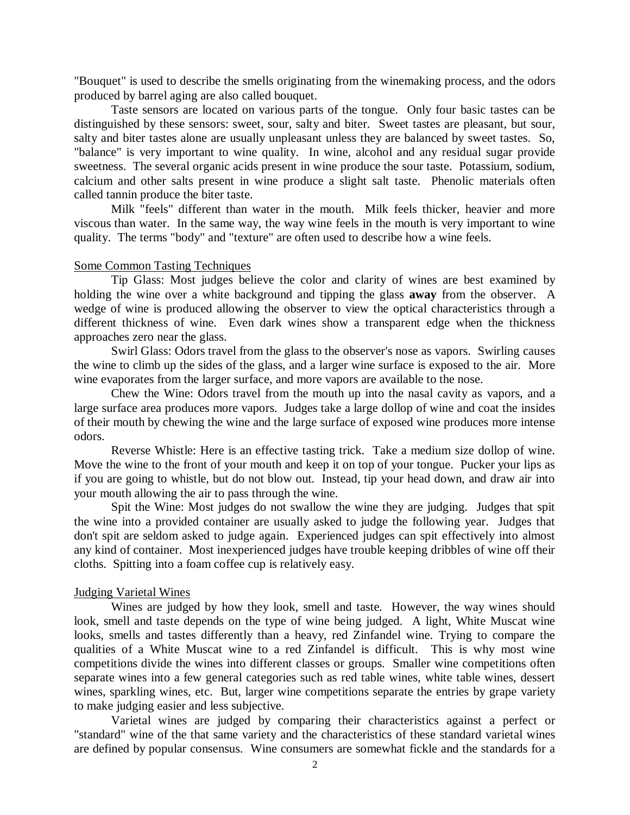"Bouquet" is used to describe the smells originating from the winemaking process, and the odors produced by barrel aging are also called bouquet.

Taste sensors are located on various parts of the tongue. Only four basic tastes can be distinguished by these sensors: sweet, sour, salty and biter. Sweet tastes are pleasant, but sour, salty and biter tastes alone are usually unpleasant unless they are balanced by sweet tastes. So, "balance" is very important to wine quality. In wine, alcohol and any residual sugar provide sweetness. The several organic acids present in wine produce the sour taste. Potassium, sodium, calcium and other salts present in wine produce a slight salt taste. Phenolic materials often called tannin produce the biter taste.

Milk "feels" different than water in the mouth. Milk feels thicker, heavier and more viscous than water. In the same way, the way wine feels in the mouth is very important to wine quality. The terms "body" and "texture" are often used to describe how a wine feels.

## Some Common Tasting Techniques

Tip Glass: Most judges believe the color and clarity of wines are best examined by holding the wine over a white background and tipping the glass **away** from the observer. A wedge of wine is produced allowing the observer to view the optical characteristics through a different thickness of wine. Even dark wines show a transparent edge when the thickness approaches zero near the glass.

Swirl Glass: Odors travel from the glass to the observer's nose as vapors. Swirling causes the wine to climb up the sides of the glass, and a larger wine surface is exposed to the air. More wine evaporates from the larger surface, and more vapors are available to the nose.

Chew the Wine: Odors travel from the mouth up into the nasal cavity as vapors, and a large surface area produces more vapors. Judges take a large dollop of wine and coat the insides of their mouth by chewing the wine and the large surface of exposed wine produces more intense odors.

Reverse Whistle: Here is an effective tasting trick. Take a medium size dollop of wine. Move the wine to the front of your mouth and keep it on top of your tongue. Pucker your lips as if you are going to whistle, but do not blow out. Instead, tip your head down, and draw air into your mouth allowing the air to pass through the wine.

Spit the Wine: Most judges do not swallow the wine they are judging. Judges that spit the wine into a provided container are usually asked to judge the following year. Judges that don't spit are seldom asked to judge again. Experienced judges can spit effectively into almost any kind of container. Most inexperienced judges have trouble keeping dribbles of wine off their cloths. Spitting into a foam coffee cup is relatively easy.

#### Judging Varietal Wines

Wines are judged by how they look, smell and taste. However, the way wines should look, smell and taste depends on the type of wine being judged. A light, White Muscat wine looks, smells and tastes differently than a heavy, red Zinfandel wine. Trying to compare the qualities of a White Muscat wine to a red Zinfandel is difficult. This is why most wine competitions divide the wines into different classes or groups. Smaller wine competitions often separate wines into a few general categories such as red table wines, white table wines, dessert wines, sparkling wines, etc. But, larger wine competitions separate the entries by grape variety to make judging easier and less subjective.

Varietal wines are judged by comparing their characteristics against a perfect or "standard" wine of the that same variety and the characteristics of these standard varietal wines are defined by popular consensus. Wine consumers are somewhat fickle and the standards for a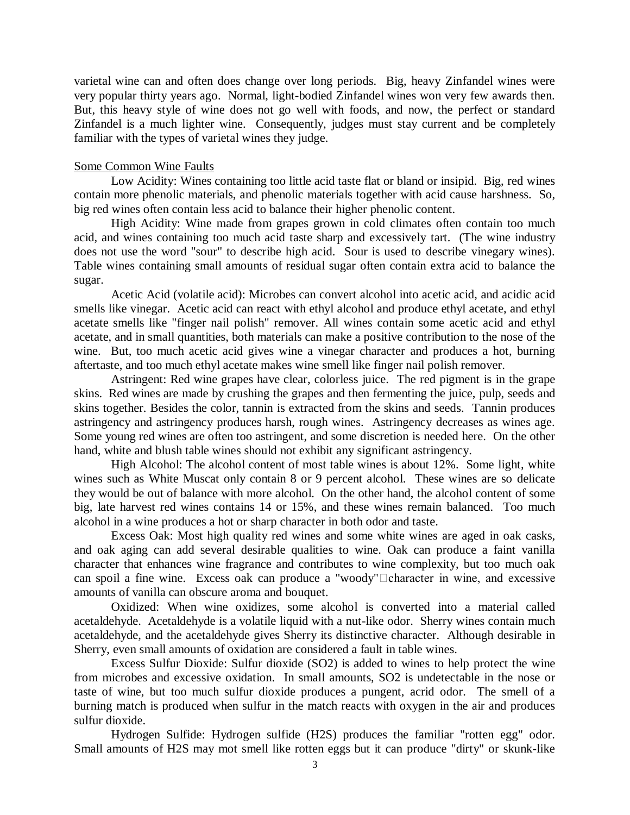varietal wine can and often does change over long periods. Big, heavy Zinfandel wines were very popular thirty years ago. Normal, light-bodied Zinfandel wines won very few awards then. But, this heavy style of wine does not go well with foods, and now, the perfect or standard Zinfandel is a much lighter wine. Consequently, judges must stay current and be completely familiar with the types of varietal wines they judge.

# Some Common Wine Faults

Low Acidity: Wines containing too little acid taste flat or bland or insipid. Big, red wines contain more phenolic materials, and phenolic materials together with acid cause harshness. So, big red wines often contain less acid to balance their higher phenolic content.

High Acidity: Wine made from grapes grown in cold climates often contain too much acid, and wines containing too much acid taste sharp and excessively tart. (The wine industry does not use the word "sour" to describe high acid. Sour is used to describe vinegary wines). Table wines containing small amounts of residual sugar often contain extra acid to balance the sugar.

Acetic Acid (volatile acid): Microbes can convert alcohol into acetic acid, and acidic acid smells like vinegar. Acetic acid can react with ethyl alcohol and produce ethyl acetate, and ethyl acetate smells like "finger nail polish" remover. All wines contain some acetic acid and ethyl acetate, and in small quantities, both materials can make a positive contribution to the nose of the wine. But, too much acetic acid gives wine a vinegar character and produces a hot, burning aftertaste, and too much ethyl acetate makes wine smell like finger nail polish remover.

Astringent: Red wine grapes have clear, colorless juice. The red pigment is in the grape skins. Red wines are made by crushing the grapes and then fermenting the juice, pulp, seeds and skins together. Besides the color, tannin is extracted from the skins and seeds. Tannin produces astringency and astringency produces harsh, rough wines. Astringency decreases as wines age. Some young red wines are often too astringent, and some discretion is needed here. On the other hand, white and blush table wines should not exhibit any significant astringency.

High Alcohol: The alcohol content of most table wines is about 12%. Some light, white wines such as White Muscat only contain 8 or 9 percent alcohol. These wines are so delicate they would be out of balance with more alcohol. On the other hand, the alcohol content of some big, late harvest red wines contains 14 or 15%, and these wines remain balanced. Too much alcohol in a wine produces a hot or sharp character in both odor and taste.

Excess Oak: Most high quality red wines and some white wines are aged in oak casks, and oak aging can add several desirable qualities to wine. Oak can produce a faint vanilla character that enhances wine fragrance and contributes to wine complexity, but too much oak can spoil a fine wine. Excess oak can produce a "woody" $\Box$ character in wine, and excessive amounts of vanilla can obscure aroma and bouquet.

Oxidized: When wine oxidizes, some alcohol is converted into a material called acetaldehyde. Acetaldehyde is a volatile liquid with a nut-like odor. Sherry wines contain much acetaldehyde, and the acetaldehyde gives Sherry its distinctive character. Although desirable in Sherry, even small amounts of oxidation are considered a fault in table wines.

Excess Sulfur Dioxide: Sulfur dioxide (SO2) is added to wines to help protect the wine from microbes and excessive oxidation. In small amounts, SO2 is undetectable in the nose or taste of wine, but too much sulfur dioxide produces a pungent, acrid odor. The smell of a burning match is produced when sulfur in the match reacts with oxygen in the air and produces sulfur dioxide.

Hydrogen Sulfide: Hydrogen sulfide (H2S) produces the familiar "rotten egg" odor. Small amounts of H2S may mot smell like rotten eggs but it can produce "dirty" or skunk-like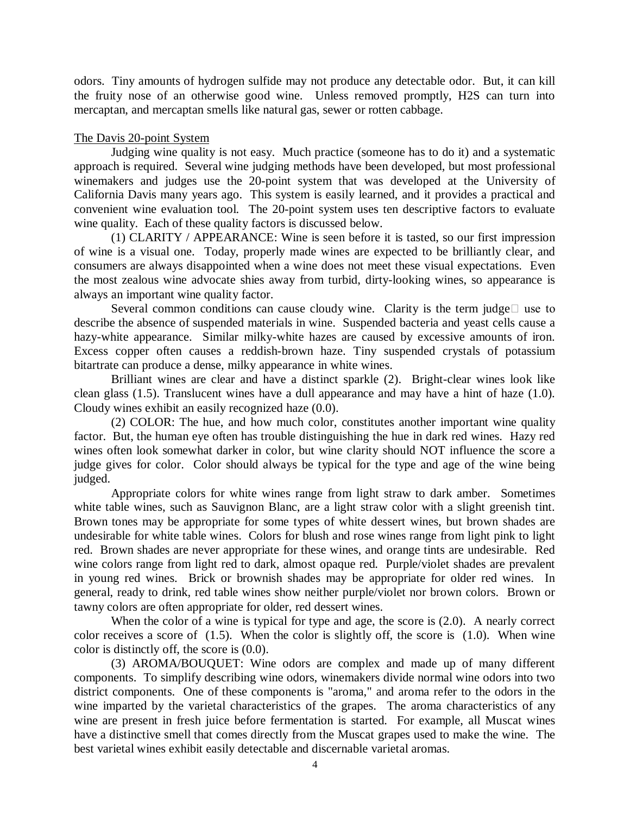odors. Tiny amounts of hydrogen sulfide may not produce any detectable odor. But, it can kill the fruity nose of an otherwise good wine. Unless removed promptly, H2S can turn into mercaptan, and mercaptan smells like natural gas, sewer or rotten cabbage.

# The Davis 20-point System

Judging wine quality is not easy. Much practice (someone has to do it) and a systematic approach is required. Several wine judging methods have been developed, but most professional winemakers and judges use the 20-point system that was developed at the University of California Davis many years ago. This system is easily learned, and it provides a practical and convenient wine evaluation tool. The 20-point system uses ten descriptive factors to evaluate wine quality. Each of these quality factors is discussed below.

(1) CLARITY / APPEARANCE: Wine is seen before it is tasted, so our first impression of wine is a visual one. Today, properly made wines are expected to be brilliantly clear, and consumers are always disappointed when a wine does not meet these visual expectations. Even the most zealous wine advocate shies away from turbid, dirty-looking wines, so appearance is always an important wine quality factor.

Several common conditions can cause cloudy wine. Clarity is the term judge $\square$  use to describe the absence of suspended materials in wine. Suspended bacteria and yeast cells cause a hazy-white appearance. Similar milky-white hazes are caused by excessive amounts of iron. Excess copper often causes a reddish-brown haze. Tiny suspended crystals of potassium bitartrate can produce a dense, milky appearance in white wines.

Brilliant wines are clear and have a distinct sparkle (2). Bright-clear wines look like clean glass (1.5). Translucent wines have a dull appearance and may have a hint of haze (1.0). Cloudy wines exhibit an easily recognized haze (0.0).

(2) COLOR: The hue, and how much color, constitutes another important wine quality factor. But, the human eye often has trouble distinguishing the hue in dark red wines. Hazy red wines often look somewhat darker in color, but wine clarity should NOT influence the score a judge gives for color. Color should always be typical for the type and age of the wine being judged.

Appropriate colors for white wines range from light straw to dark amber. Sometimes white table wines, such as Sauvignon Blanc, are a light straw color with a slight greenish tint. Brown tones may be appropriate for some types of white dessert wines, but brown shades are undesirable for white table wines. Colors for blush and rose wines range from light pink to light red. Brown shades are never appropriate for these wines, and orange tints are undesirable. Red wine colors range from light red to dark, almost opaque red. Purple/violet shades are prevalent in young red wines. Brick or brownish shades may be appropriate for older red wines. In general, ready to drink, red table wines show neither purple/violet nor brown colors. Brown or tawny colors are often appropriate for older, red dessert wines.

When the color of a wine is typical for type and age, the score is  $(2.0)$ . A nearly correct color receives a score of (1.5). When the color is slightly off, the score is (1.0). When wine color is distinctly off, the score is (0.0).

(3) AROMA/BOUQUET: Wine odors are complex and made up of many different components. To simplify describing wine odors, winemakers divide normal wine odors into two district components. One of these components is "aroma," and aroma refer to the odors in the wine imparted by the varietal characteristics of the grapes. The aroma characteristics of any wine are present in fresh juice before fermentation is started. For example, all Muscat wines have a distinctive smell that comes directly from the Muscat grapes used to make the wine. The best varietal wines exhibit easily detectable and discernable varietal aromas.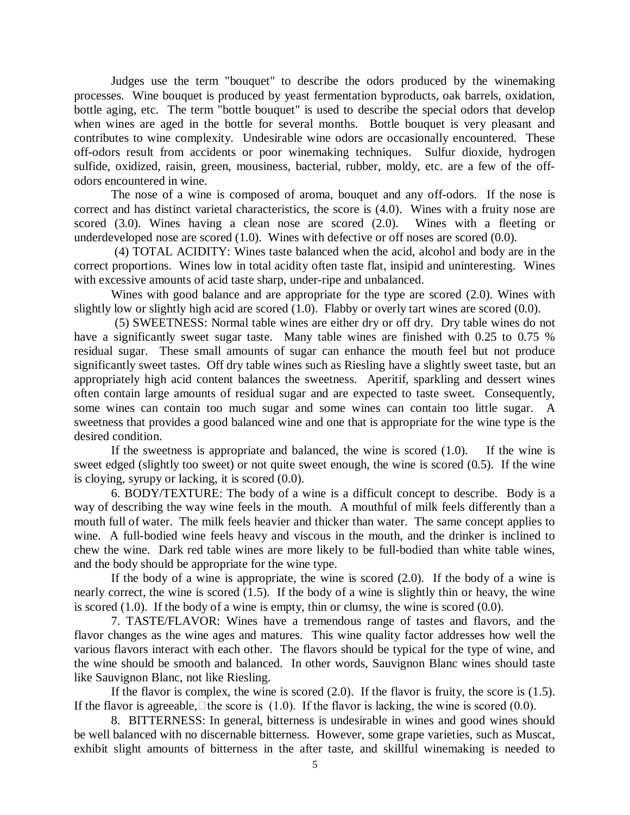Judges use the term "bouquet" to describe the odors produced by the winemaking processes. Wine bouquet is produced by yeast fermentation byproducts, oak barrels, oxidation, bottle aging, etc. The term "bottle bouquet" is used to describe the special odors that develop when wines are aged in the bottle for several months. Bottle bouquet is very pleasant and contributes to wine complexity. Undesirable wine odors are occasionally encountered. These off-odors result from accidents or poor winemaking techniques. Sulfur dioxide, hydrogen sulfide, oxidized, raisin, green, mousiness, bacterial, rubber, moldy, etc. are a few of the offodors encountered in wine.

The nose of a wine is composed of aroma, bouquet and any off-odors. If the nose is correct and has distinct varietal characteristics, the score is (4.0). Wines with a fruity nose are scored (3.0). Wines having a clean nose are scored (2.0). Wines with a fleeting or underdeveloped nose are scored (1.0). Wines with defective or off noses are scored (0.0).

 (4) TOTAL ACIDITY: Wines taste balanced when the acid, alcohol and body are in the correct proportions. Wines low in total acidity often taste flat, insipid and uninteresting. Wines with excessive amounts of acid taste sharp, under-ripe and unbalanced.

Wines with good balance and are appropriate for the type are scored (2.0). Wines with slightly low or slightly high acid are scored (1.0). Flabby or overly tart wines are scored (0.0).

 (5) SWEETNESS: Normal table wines are either dry or off dry. Dry table wines do not have a significantly sweet sugar taste. Many table wines are finished with 0.25 to 0.75 % residual sugar. These small amounts of sugar can enhance the mouth feel but not produce significantly sweet tastes. Off dry table wines such as Riesling have a slightly sweet taste, but an appropriately high acid content balances the sweetness. Aperitif, sparkling and dessert wines often contain large amounts of residual sugar and are expected to taste sweet. Consequently, some wines can contain too much sugar and some wines can contain too little sugar. A sweetness that provides a good balanced wine and one that is appropriate for the wine type is the desired condition.

If the sweetness is appropriate and balanced, the wine is scored (1.0). If the wine is sweet edged (slightly too sweet) or not quite sweet enough, the wine is scored (0.5). If the wine is cloying, syrupy or lacking, it is scored (0.0).

6. BODY/TEXTURE: The body of a wine is a difficult concept to describe. Body is a way of describing the way wine feels in the mouth. A mouthful of milk feels differently than a mouth full of water. The milk feels heavier and thicker than water. The same concept applies to wine. A full-bodied wine feels heavy and viscous in the mouth, and the drinker is inclined to chew the wine. Dark red table wines are more likely to be full-bodied than white table wines, and the body should be appropriate for the wine type.

If the body of a wine is appropriate, the wine is scored (2.0). If the body of a wine is nearly correct, the wine is scored (1.5). If the body of a wine is slightly thin or heavy, the wine is scored (1.0). If the body of a wine is empty, thin or clumsy, the wine is scored (0.0).

7. TASTE/FLAVOR: Wines have a tremendous range of tastes and flavors, and the flavor changes as the wine ages and matures. This wine quality factor addresses how well the various flavors interact with each other. The flavors should be typical for the type of wine, and the wine should be smooth and balanced. In other words, Sauvignon Blanc wines should taste like Sauvignon Blanc, not like Riesling.

If the flavor is complex, the wine is scored (2.0). If the flavor is fruity, the score is (1.5). If the flavor is agreeable,  $\Box$  the score is (1.0). If the flavor is lacking, the wine is scored (0.0).

8. BITTERNESS: In general, bitterness is undesirable in wines and good wines should be well balanced with no discernable bitterness. However, some grape varieties, such as Muscat, exhibit slight amounts of bitterness in the after taste, and skillful winemaking is needed to